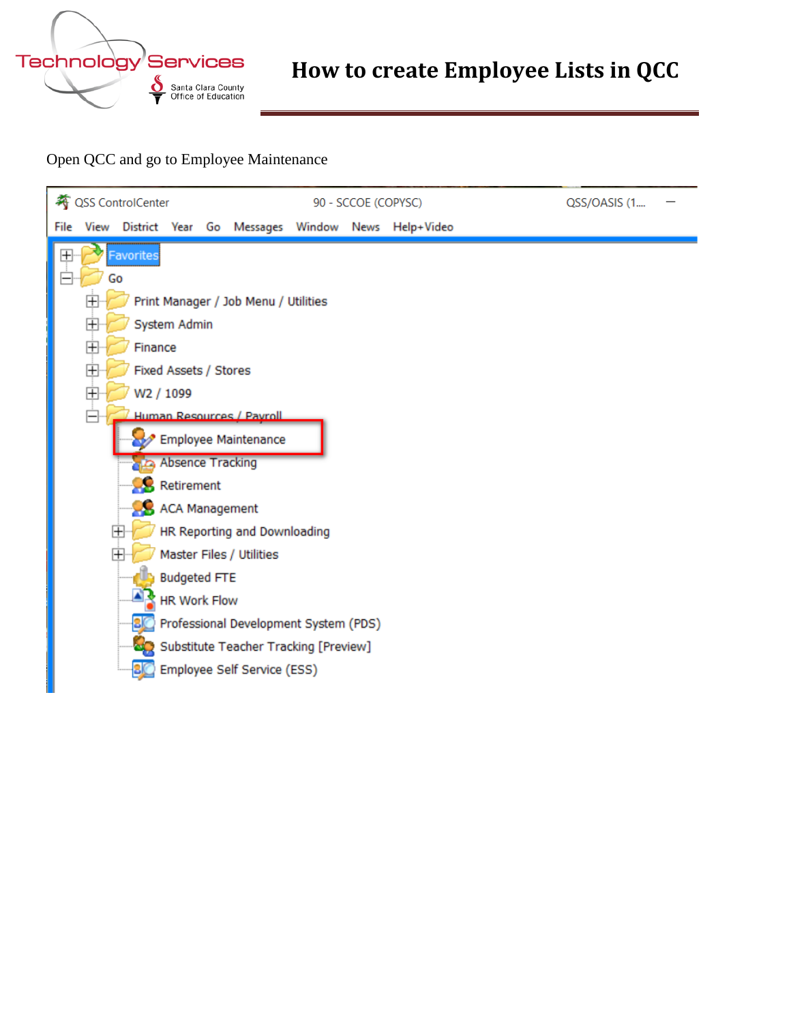

## **How to create Employee Lists in QCC**

Open QCC and go to Employee Maintenance

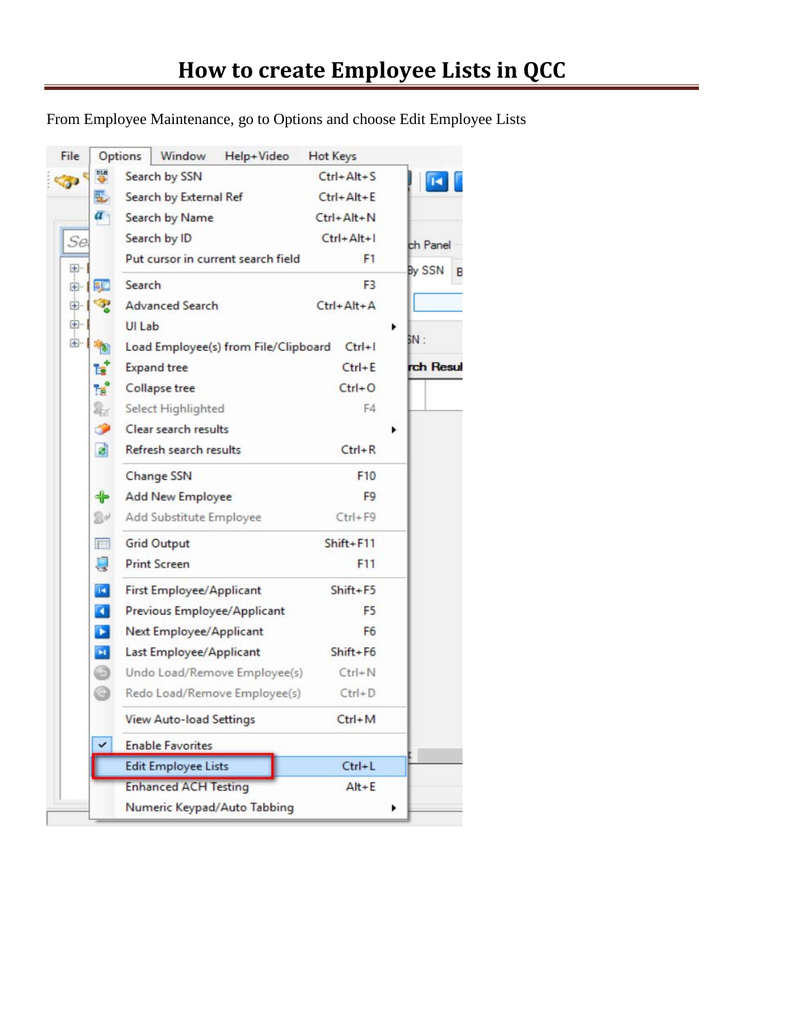From Employee Maintenance, go to Options and choose Edit Employee Lists

| File      |                       | Window<br>Options<br>Help+Video      | Hot Keys         |           |
|-----------|-----------------------|--------------------------------------|------------------|-----------|
| <b>Co</b> |                       | Search by SSN                        | $Ctrl + Alt + S$ |           |
|           | E.                    | Search by External Ref               | $Ctrl + Alt + E$ |           |
|           | $\overline{a}$        | <b>Search by Name</b>                | $Ctrl + Alt + N$ |           |
| Se        |                       | Search by ID                         | $Ctrl + Alt + I$ | ch Panel  |
| $+$       |                       | Put cursor in current search field   | F1               | By SSN    |
| 由-        | <b>BIC</b>            | Search                               | F <sub>3</sub>   | B         |
| 田-        | <b>SOF</b>            | <b>Advanced Search</b>               | $Ctrl + Alt + A$ |           |
| 田…        |                       | UI Lab                               |                  |           |
| 田         |                       | Load Employee(s) from File/Clipboard | $Ctrl + I$       | BN :      |
|           | L.                    | <b>Expand tree</b>                   | $Ctrl + E$       | rch Resul |
|           | Ħ                     | Collapse tree                        | $Ctrl + O$       |           |
|           | ł                     | Select Highlighted                   | F4               |           |
|           | ●                     | Clear search results                 |                  |           |
|           | ø                     | Refresh search results               | $Ctrl + R$       |           |
|           |                       | <b>Change SSN</b>                    | F10              |           |
|           | ╬                     | <b>Add New Employee</b>              | F9               |           |
|           | 84                    | Add Substitute Employee              | $Ctrl + F9$      |           |
|           | $\Box$                | <b>Grid Output</b>                   | Shift+F11        |           |
|           | Q                     | <b>Print Screen</b>                  | F11              |           |
|           | T.                    | First Employee/Applicant             | Shift+F5         |           |
|           | $\blacksquare$        | Previous Employee/Applicant          | F <sub>5</sub>   |           |
|           | $\blacktriangleright$ | Next Employee/Applicant              | F6               |           |
|           | $\blacksquare$        | Last Employee/Applicant              | $Shift + F6$     |           |
|           | o                     | Undo Load/Remove Employee(s)         | $Ctrl + N$       |           |
|           | G                     | Redo Load/Remove Employee(s)         | $Ctrl + D$       |           |
|           |                       | View Auto-load Settings              | $Ctrl + M$       |           |
|           | ✓                     | <b>Enable Favorites</b>              |                  |           |
|           |                       | <b>Edit Employee Lists</b>           | $Ctrl+L$         |           |
|           |                       | <b>Enhanced ACH Testing</b>          | $Alt + E$        |           |
|           |                       | Numeric Keypad/Auto Tabbing          |                  |           |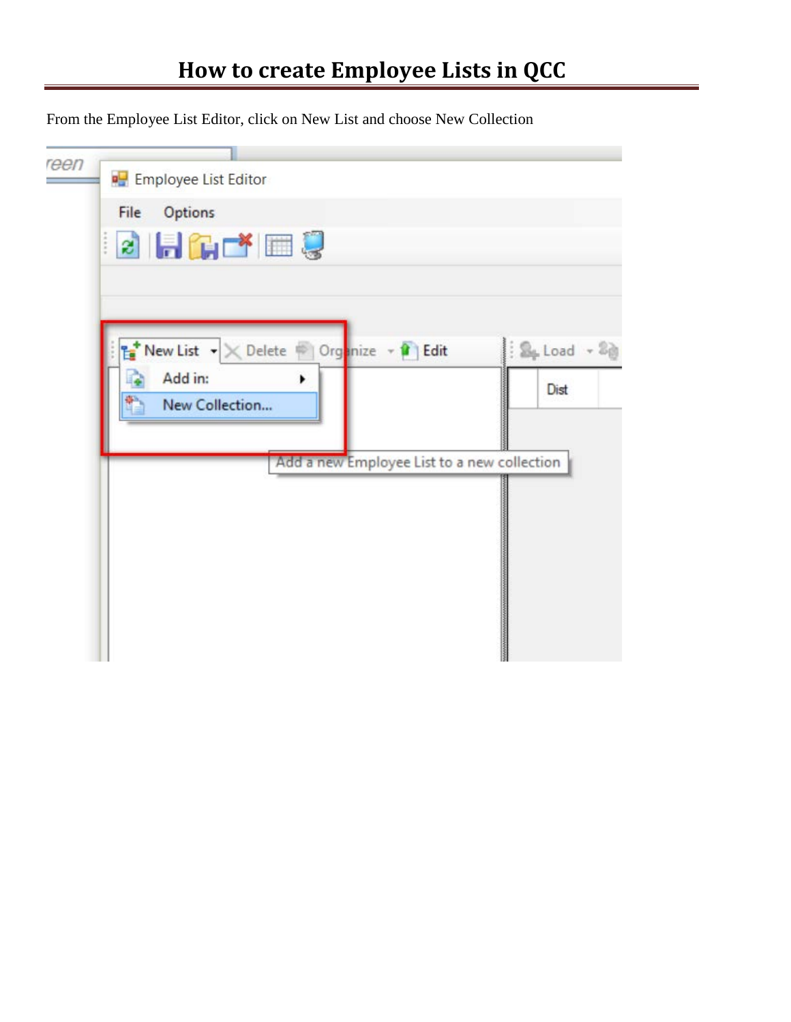From the Employee List Editor, click on New List and choose New Collection

| reen<br><b>D</b> Employee List Editor                                                                 |                                                        |
|-------------------------------------------------------------------------------------------------------|--------------------------------------------------------|
| Options<br>File                                                                                       |                                                        |
| <b>BHGCYES</b>                                                                                        |                                                        |
|                                                                                                       |                                                        |
|                                                                                                       |                                                        |
|                                                                                                       |                                                        |
| <b>E</b> New List $\mathbf{v} \times \mathbf{D}$ elete   Organize $\mathbf{v} \times \mathbf{D}$ Edit | $\therefore$ $\mathbb{S}_+$ Load $\sim$ $\mathbb{S}_0$ |
| Add in:<br>٠                                                                                          | Dist                                                   |
| New Collection                                                                                        |                                                        |
|                                                                                                       |                                                        |
| Add a new Employee List to a new collection                                                           |                                                        |
|                                                                                                       |                                                        |
|                                                                                                       |                                                        |
|                                                                                                       |                                                        |
|                                                                                                       |                                                        |
|                                                                                                       |                                                        |
|                                                                                                       |                                                        |
|                                                                                                       |                                                        |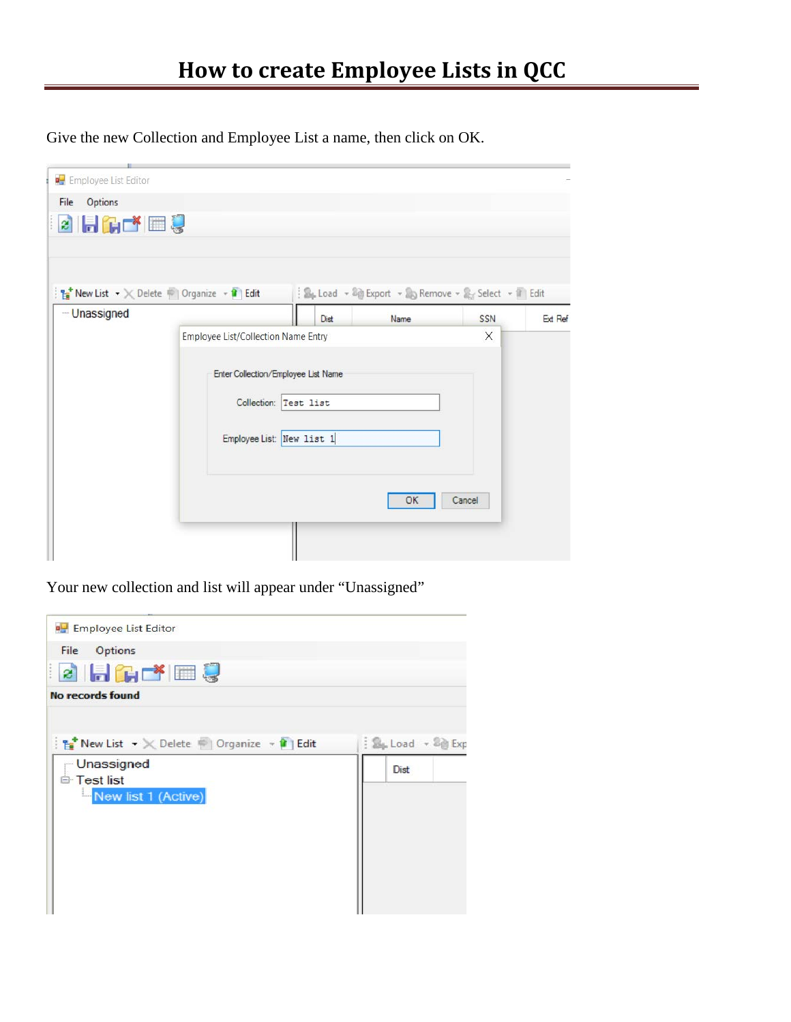Give the new Collection and Employee List a name, then click on OK.

| File<br>Options |                                                                                                               |                                     |                                                      |        |         |
|-----------------|---------------------------------------------------------------------------------------------------------------|-------------------------------------|------------------------------------------------------|--------|---------|
| 2 Hares         |                                                                                                               |                                     |                                                      |        |         |
|                 |                                                                                                               |                                     |                                                      |        |         |
|                 |                                                                                                               |                                     |                                                      |        |         |
|                 | <b>The New List <math>\rightarrow \times</math></b> Delete $\rightarrow$ Organize $\rightarrow$ <b>f</b> Edit |                                     | : Se Load - @ Export - & Remove - & Select - Il Edit |        |         |
| -Unassigned     |                                                                                                               | Dist                                | Name                                                 | SSN    | Ext Ref |
|                 |                                                                                                               | Employee List/Collection Name Entry |                                                      |        |         |
|                 |                                                                                                               |                                     |                                                      |        |         |
|                 | Enter Collection/Employee List Name                                                                           |                                     |                                                      |        |         |
|                 |                                                                                                               | Collection: Test list               |                                                      |        |         |
|                 |                                                                                                               |                                     |                                                      |        |         |
|                 | Employee List: New list 1                                                                                     |                                     |                                                      |        |         |
|                 |                                                                                                               |                                     |                                                      |        |         |
|                 |                                                                                                               |                                     |                                                      |        |         |
|                 |                                                                                                               |                                     | OK                                                   | Cancel |         |
|                 |                                                                                                               |                                     |                                                      |        |         |
|                 |                                                                                                               |                                     |                                                      |        |         |
|                 |                                                                                                               |                                     |                                                      |        |         |

Your new collection and list will appear under "Unassigned"

| <b>PH</b> Employee List Editor                            |                                                 |
|-----------------------------------------------------------|-------------------------------------------------|
| File Options<br><b>BHLFEU</b>                             |                                                 |
| <b>No records found</b>                                   |                                                 |
| New List $\cdot \times$ Delete Corganize $\cdot$ 1 Edit   | $\frac{1}{2}$ $\frac{6}{2}$ Load $\sqrt{2}$ Exp |
| - Unassigned<br><b>E</b> Test list<br>New list 1 (Active) | Dist                                            |
|                                                           |                                                 |
|                                                           |                                                 |
|                                                           |                                                 |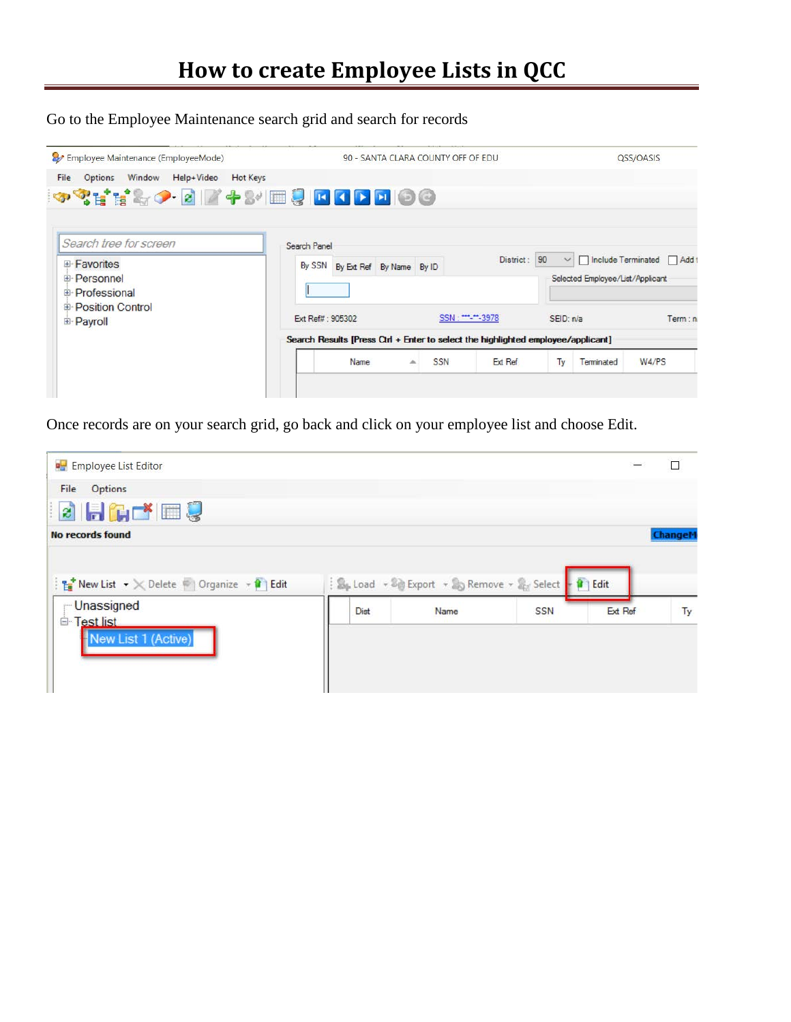Go to the Employee Maintenance search grid and search for records

| Employee Maintenance (EmployeeMode)<br>Window Help+Video<br>File | <b>Hot Keys</b>                                                                  | 90 - SANTA CLARA COUNTY OFF OF EDU |              |           |                                  | QSS/OASIS                    |
|------------------------------------------------------------------|----------------------------------------------------------------------------------|------------------------------------|--------------|-----------|----------------------------------|------------------------------|
| Options<br>◆ ? H H & ↑ B Z + & E & D O D D O O                   |                                                                                  |                                    |              |           |                                  |                              |
| Search tree for screen                                           | Search Panel                                                                     |                                    |              |           |                                  |                              |
| E-Favorites<br><b>E</b> -Personnel<br><b>E</b> -Professional     | By SSN By Ext Ref By Name By ID                                                  |                                    | District: 90 | $\vee$    | Selected Employee/List/Applicant | □ Include Terminated □ Add t |
| <b>E-Position Control</b><br><b>E</b> -Payroll                   | Ext Ref#: 905302                                                                 | SSN: ***-**-3978                   |              | SEID: n/a |                                  | Term: n                      |
|                                                                  | Search Results [Press Ctrl + Enter to select the highlighted employee/applicant] |                                    |              |           |                                  |                              |
|                                                                  | Name                                                                             | SSN<br>盀                           | Ext Ref      | Ty        | Terminated                       | W4/PS                        |

Once records are on your search grid, go back and click on your employee list and choose Edit.

|      |      |            |         | □                                                                                          |
|------|------|------------|---------|--------------------------------------------------------------------------------------------|
|      |      |            |         |                                                                                            |
|      |      |            |         |                                                                                            |
|      |      |            |         | Changel                                                                                    |
| Dist | Name | <b>SSN</b> | Ext Ref | Ty                                                                                         |
|      |      |            |         | B <sub>p</sub> Load - <sup>B</sup> ig Export - Bp Remove - B <sub>EX</sub> Select - 1 Edit |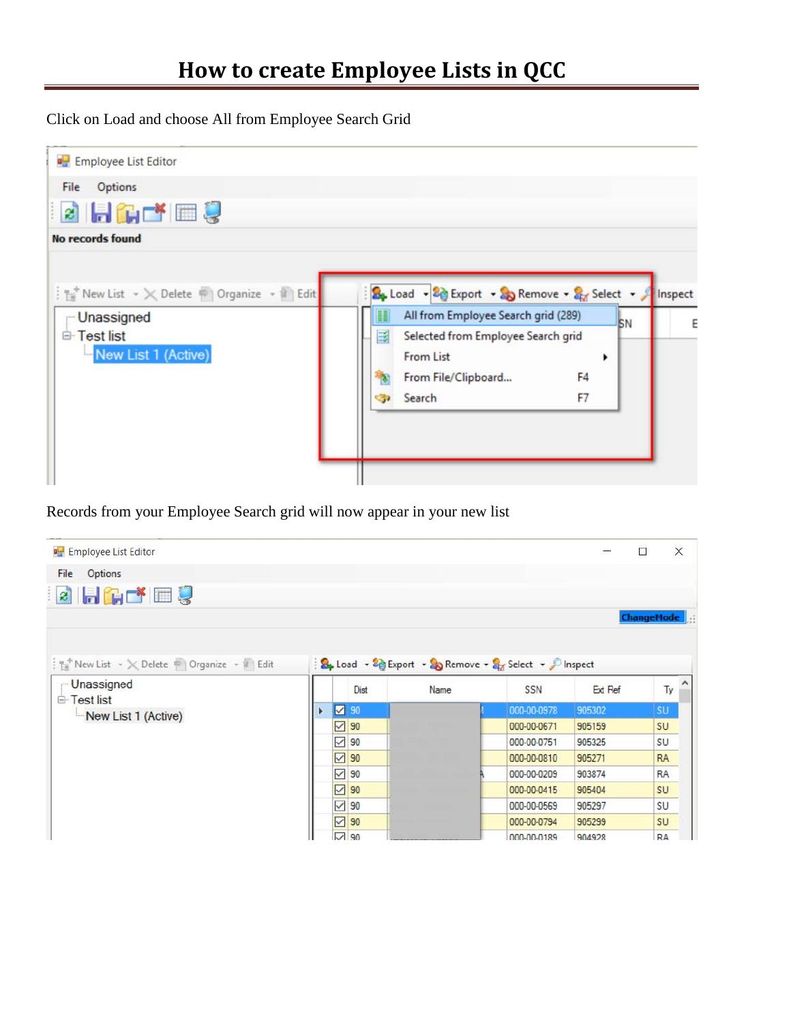Click on Load and choose All from Employee Search Grid



Records from your Employee Search grid will now appear in your new list

| <b>D</b> Employee List Editor                                             |   |                             |      |                                                        |         | $\times$<br>□     |
|---------------------------------------------------------------------------|---|-----------------------------|------|--------------------------------------------------------|---------|-------------------|
| Options<br>File                                                           |   |                             |      |                                                        |         |                   |
| <b>BHATE!</b>                                                             |   |                             |      |                                                        |         |                   |
|                                                                           |   |                             |      |                                                        |         | <b>ChangeMode</b> |
| $\frac{1}{2}$ New List $\sim \infty$ Delete $\sim$ Organize $\sim$ 1 Edit |   |                             |      | B. Load - 80 Export - So Remove - 8 Select - C Inspect |         |                   |
| <b>Unassigned</b>                                                         |   | Dist                        | Name | <b>SSN</b>                                             | Ext Ref | Ty                |
| <b>E</b> -Test list<br>New List 1 (Active)                                | Þ | $\sim$ 90                   |      | 000-00-0978                                            | 905302  | <b>SU</b>         |
|                                                                           |   | ☑<br>90                     |      | 000-00-0671                                            | 905159  | SU                |
|                                                                           |   | ☑<br>90                     |      | 000-00-0751                                            | 905325  | SU                |
|                                                                           |   | ☑<br>90                     |      | 000-00-0810                                            | 905271  | <b>RA</b>         |
|                                                                           |   | $\checkmark$<br>90          |      | 000-00-0209                                            | 903874  | <b>RA</b>         |
|                                                                           |   | ☑<br>90                     |      | 000-00-0415                                            | 905404  | SU                |
|                                                                           |   | ☑<br>90                     |      | 000-00-0569                                            | 905297  | SU                |
|                                                                           |   | $\overline{\vee}$<br>90     |      | 000-00-0794                                            | 905299  | <b>SU</b>         |
|                                                                           |   | $\overline{\triangleright}$ |      |                                                        |         |                   |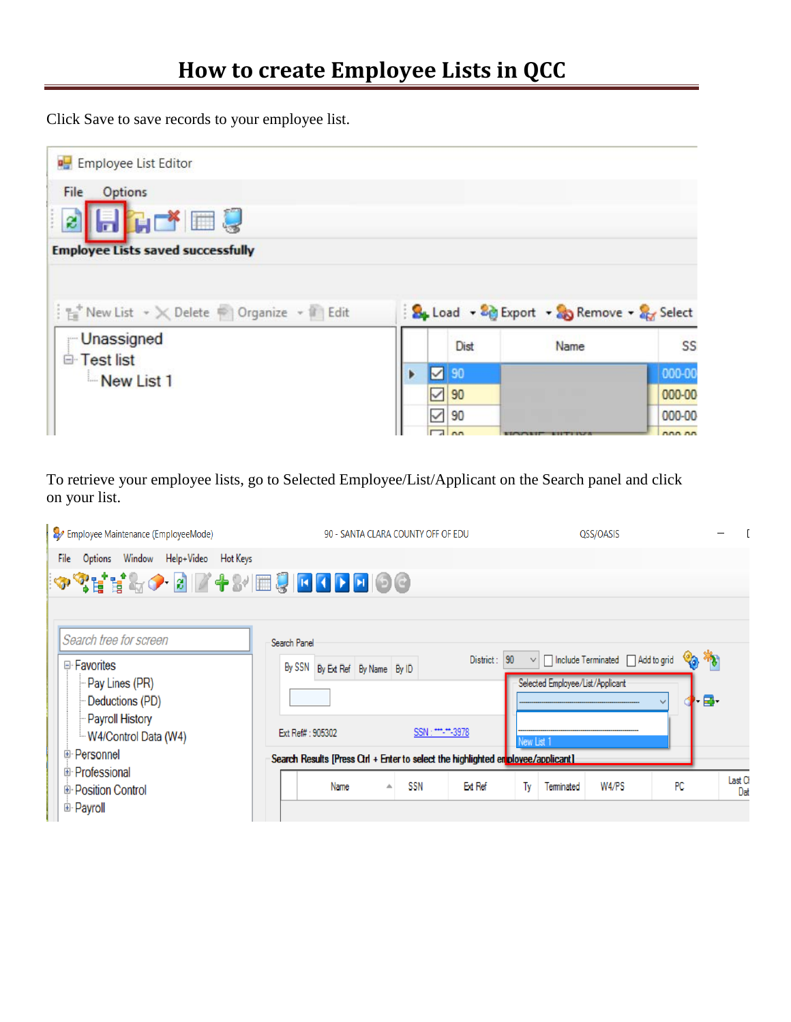Click Save to save records to your employee list.

| <b>P</b> Employee List Editor                                          |         |                                          |        |
|------------------------------------------------------------------------|---------|------------------------------------------|--------|
| Options<br>File<br>2 Hate!<br><b>Employee Lists saved successfully</b> |         |                                          |        |
|                                                                        |         |                                          |        |
| Fig New List v X Delete   Organize v II Edit                           |         | B. Load - & Export - & Remove - & Select |        |
| <b>Unassigned</b>                                                      | Dist    | Name                                     | SS     |
| <b>E</b> Test list                                                     | 90<br>☑ |                                          | 000-00 |
| New List 1                                                             | 90      |                                          | 000-00 |

To retrieve your employee lists, go to Selected Employee/List/Applicant on the Search panel and click on your list.

| Employee Maintenance (EmployeeMode)                                                                                                                                                     | 90 - SANTA CLARA COUNTY OFF OF EDU                                                                                                                                                                                       | QSS/OASIS                                                                                                                                                                    |               |
|-----------------------------------------------------------------------------------------------------------------------------------------------------------------------------------------|--------------------------------------------------------------------------------------------------------------------------------------------------------------------------------------------------------------------------|------------------------------------------------------------------------------------------------------------------------------------------------------------------------------|---------------|
| Window Help+Video Hot Keys<br>File<br>Options<br>◆◆【其界◆ 图 】 ◆ 8/ ■ 8 回 8 0 回 9 0                                                                                                        |                                                                                                                                                                                                                          |                                                                                                                                                                              |               |
| Search tree for screen<br>□ Favorites<br>- Pay Lines (PR)<br>Deductions (PD)<br>- Payroll History<br>W4/Control Data (W4)<br>⊕ Personnel<br>⊕ Professional<br><b>E</b> Position Control | Search Panel<br>District:<br>By SSN By Ext Ref By Name By ID<br>SSN: ***-**-3978<br>Ext Ref#: 905302<br>Search Results [Press Ctrl + Enter to select the highlighted en ployee/applicant]<br>SSN<br>Ext Ref<br>Name<br>▲ | O <sub>O</sub> *<br>$\vee$   $\Box$ Include Terminated   $\Box$ Add to grid<br>90<br>Selected Employee/List/Applicant<br>∙₽<br>New List 1<br>PC<br>W4/PS<br>Terminated<br>Ty | Last C<br>Dat |
| <b>E</b> Payroll                                                                                                                                                                        |                                                                                                                                                                                                                          |                                                                                                                                                                              |               |